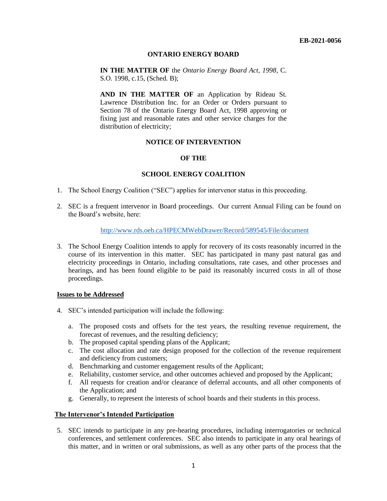## **ONTARIO ENERGY BOARD**

**IN THE MATTER OF** the *Ontario Energy Board Act, 1998*, C. S.O. 1998, c.15, (Sched. B);

**AND IN THE MATTER OF** an Application by Rideau St. Lawrence Distribution Inc. for an Order or Orders pursuant to Section 78 of the Ontario Energy Board Act, 1998 approving or fixing just and reasonable rates and other service charges for the distribution of electricity;

## **NOTICE OF INTERVENTION**

## **OF THE**

## **SCHOOL ENERGY COALITION**

- 1. The School Energy Coalition ("SEC") applies for intervenor status in this proceeding.
- 2. SEC is a frequent intervenor in Board proceedings. Our current Annual Filing can be found on the Board's website, here:

## <http://www.rds.oeb.ca/HPECMWebDrawer/Record/589545/File/document>

3. The School Energy Coalition intends to apply for recovery of its costs reasonably incurred in the course of its intervention in this matter. SEC has participated in many past natural gas and electricity proceedings in Ontario, including consultations, rate cases, and other processes and hearings, and has been found eligible to be paid its reasonably incurred costs in all of those proceedings.

#### **Issues to be Addressed**

- 4. SEC's intended participation will include the following:
	- a. The proposed costs and offsets for the test years, the resulting revenue requirement, the forecast of revenues, and the resulting deficiency;
	- b. The proposed capital spending plans of the Applicant;
	- c. The cost allocation and rate design proposed for the collection of the revenue requirement and deficiency from customers;
	- d. Benchmarking and customer engagement results of the Applicant;
	- e. Reliability, customer service, and other outcomes achieved and proposed by the Applicant;
	- f. All requests for creation and/or clearance of deferral accounts, and all other components of the Application; and
	- g. Generally, to represent the interests of school boards and their students in this process.

# **The Intervenor's Intended Participation**

5. SEC intends to participate in any pre-hearing procedures, including interrogatories or technical conferences, and settlement conferences. SEC also intends to participate in any oral hearings of this matter, and in written or oral submissions, as well as any other parts of the process that the